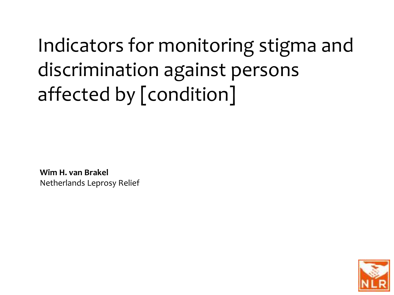Indicators for monitoring stigma and discrimination against persons affected by [condition]

**Wim H. van Brakel** Netherlands Leprosy Relief

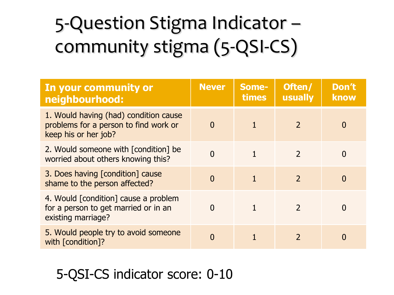## 5-Question Stigma Indicator – community stigma (5-QSI-CS)

| In your community or<br>neighbourhood:                                                                 | <b>Never</b> | Some-<br>times | Often/<br>usually | Don't<br>know |
|--------------------------------------------------------------------------------------------------------|--------------|----------------|-------------------|---------------|
| 1. Would having (had) condition cause<br>problems for a person to find work or<br>keep his or her job? | $\Omega$     | $\mathbf{1}$   | $\mathcal{P}$     | O             |
| 2. Would someone with [condition] be<br>worried about others knowing this?                             | O            |                | $\mathcal{L}$     |               |
| 3. Does having [condition] cause<br>shame to the person affected?                                      | $\Omega$     | $\mathbf{1}$   | $\mathcal{L}$     | O             |
| 4. Would [condition] cause a problem<br>for a person to get married or in an<br>existing marriage?     | $\Omega$     |                |                   |               |
| 5. Would people try to avoid someone<br>with [condition]?                                              | O            |                |                   |               |

## 5-QSI-CS indicator score: 0-10